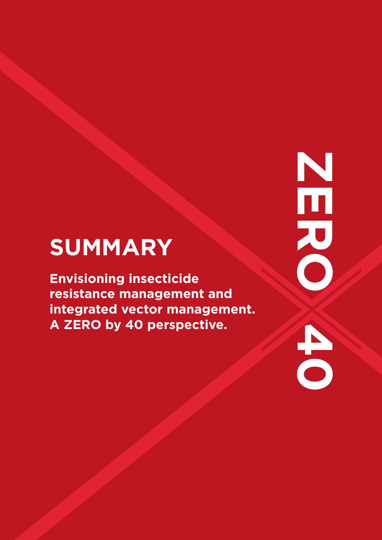# **SUMMARY**

**Envisioning insecticide resistance management and integrated vector management. A ZERO by 40 perspective.**

Number 20  $\frac{1}{2}$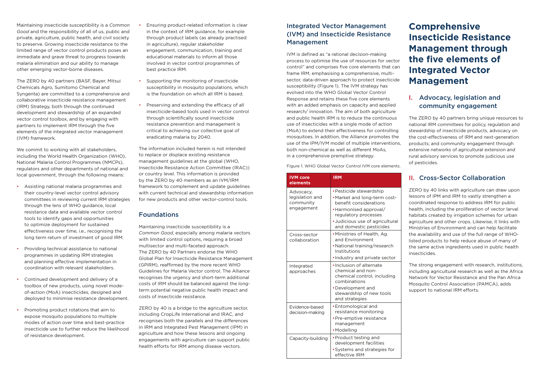Maintaining insecticide susceptibility is a *Common Good* and the responsibility of all of us, public and private, agriculture, public health, and civil society to preserve. Growing insecticide resistance to the limited range of vector control products poses an immediate and grave threat to progress towards malaria elimination and our ability to manage other emerging vector-borne diseases.

The ZERO by 40 partners (BASF, Bayer, Mitsui Chemicals Agro, Sumitomo Chemical and Syngenta) are committed to a comprehensive and collaborative insecticide resistance management (IRM) Strategy, both through the continued development and stewardship of an expanded vector control toolbox, and by engaging with partners to implement IRM through the five elements of the integrated vector management (IVM) framework.

We commit to working with all stakeholders, including the World Health Organization (WHO), National Malaria Control Programmes (NMCPs), regulators and other departments of national and local government, through the following means:

- Assisting national malaria programmes and their country-level vector control advisory committees in reviewing current IRM strategies through the lens of WHO guidance, local resistance data and available vector control tools to identify gaps and opportunities to optimize deployment for sustained effectiveness over time, i.e., recognising the long term return of investment of good IRM.
- Providing technical assistance to national programmes in updating IRM strategies and planning effective implementation in coordination with relevant stakeholders.
- Continued development and delivery of a toolbox of new products, using novel modeof-action (MoA) insecticides, designed and deployed to minimise resistance development.
- Promoting product rotations that aim to expose mosquito populations to multiple modes of action over time and best-practice insecticide use to further reduce the likelihood of resistance development.
- Ensuring product-related information is clear in the context of IRM guidance, for example through product labels (as already practised in agriculture), regular stakeholder engagement, communication, training and educational materials to inform all those involved in vector control programmes of best practice IRM.
- Supporting the monitoring of insecticide susceptibility in mosquito populations, which is the foundation on which all IRM is based.
- Preserving and extending the efficacy of all insecticide-based tools used in vector control through scientifically sound insecticide resistance prevention and management is critical to achieving our collective goal of eradicating malaria by 2040.

The information included herein is not intended to replace or displace existing resistance management guidelines at the global (WHO, Insecticide Resistance Action Committee (IRAC)) or country level. This information is provided by the ZERO by 40 members as an IVM/IRM framework to complement and update guidelines with current technical and stewardship information for new products and other vector-control tools.

#### Foundations

Maintaining insecticide susceptibility is a *Common Good*, especially among malaria vectors with limited control options, requiring a broad multisector and multi-faceted approach. The ZERO by 40 Partners endorse the WHO Global Plan for Insecticide Resistance Management (GPIRM), reaffirmed by the more recent WHO Guidelines for Malaria Vector control. The Alliance recognises the urgency and short-term additional costs of IRM should be balanced against the longterm potential negative public health impact and costs of insecticide resistance.

ZERO by 40 is a bridge to the agriculture sector, including CropLife International and IRAC, and recognises both the parallels and the differences in IRM and Integrated Pest Management (IPM) in agriculture and how these lessons and ongoing engagements with agriculture can support public health efforts for IRM among disease vectors.

## Integrated Vector Management (IVM) and Insecticide Resistance Management

IVM is defined as "a rational decision-making process to optimise the use of resources for vector control" and comprises five core elements that can frame IRM, emphasising a comprehensive, multisector, data-driven approach to protect insecticide susceptibility (Figure 1). The IVM strategy has evolved into the WHO Global Vector Control Response and retains these five core elements with an added emphasis on capacity and applied research/ innovation. The aim of both agriculture and public health IRM is to reduce the continuous use of insecticides with a single mode of action (MoA) to extend their effectiveness for controlling mosquitoes. In addition, the Alliance promotes the use of the IPM/IVM model of multiple interventions, both non-chemical as well as different MoAs, in a comprehensive premptive strategy.

Figure 1. WHO Global Vector Control IVM core elements.

# **Comprehensive Insecticide Resistance Management through the five elements of Integrated Vector Management**

# I. Advocacy, legislation and community engagement

The ZERO by 40 partners bring unique resources to national IRM committees for policy, regulation and stewardship of insecticide products, advocacy on the cost-effectiveness of IRM and next-generation products; and community engagement through extensive networks of agricultural extension and rural advisory services to promote judicious use of pesticides.

#### II. Cross-Sector Collaboration

ZERO by 40 links with agriculture can draw upon lessons of IPM and IRM to vastly strengthen a coordinated response to address IRM for public health, including the proliferation of vector larval habitats created by irrigation schemes for urban agriculture and other crops. Likewise, it links with Ministries of Environment and can help facilitate the availability and use of the full range of WHOlisted products to help reduce abuse of many of the same active ingredients used in public health insecticides.

The strong engagement with research, institutions, including agricultural research as well as the Africa Network for Vector Resistance and the Pan Africa Mosquito Control Association (PAMCA), adds support to national IRM efforts.

| <b>IVM</b> core<br>elements                             | <b>IRM</b>                                                                                                                                                                                        |
|---------------------------------------------------------|---------------------------------------------------------------------------------------------------------------------------------------------------------------------------------------------------|
| Advocacy,<br>legislation and<br>community<br>engagement | • Pesticide stewardship<br>. Market and long-term cost-<br>benefit considerations<br>• Harmonised approval/<br>regulatory processes<br>· Judicious use of agricultural<br>and domestic pesticides |
| Cross-sector<br>collaboration                           | . Ministries of Health, Ag.<br>and Environment<br>• National training/research<br>Institutions<br>. Industry and private sector                                                                   |
| Integrated<br>approaches                                | · Inclusion of alternate<br>chemical and non-<br>chemical control, including<br>combinations<br>•Development and<br>stewardship of new tools<br>and strategies                                    |
| Evidence-based<br>decision-making                       | • Entomological and<br>resistance monitoring<br>• Pre-emptive resistance<br>management<br>• Modelling                                                                                             |
| Capacity-building                                       | • Product testing and<br>development facilities<br>• Systems and strategies for<br>effective IRM                                                                                                  |